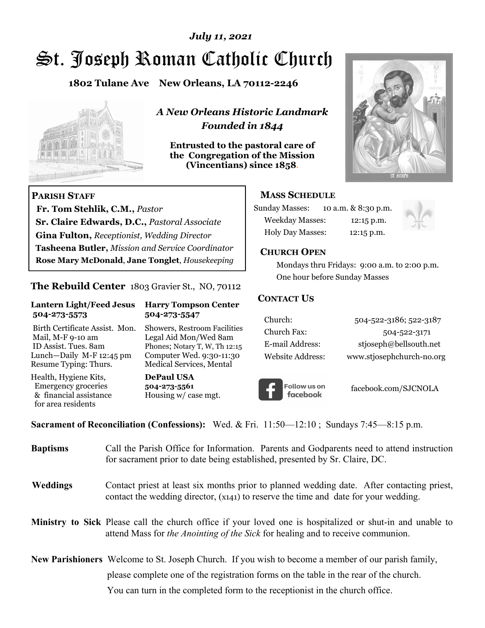# St. Joseph Roman Catholic Church *July 11, 2021*

**1802 Tulane Ave New Orleans, LA 70112-2246**



 **Fr. Tom Stehlik, C.M.,** *Pastor* 

**Sr. Claire Edwards, D.C.,** *Pastoral Associate* **Gina Fulton,** *Receptionist, Wedding Director* 

**Tasheena Butler,** *Mission and Service Coordinator* **Rose Mary McDonald**, **Jane Tonglet**, *Housekeeping*

**The Rebuild Center** 1803 Gravier St., NO, 70112

**Lantern Light/Feed Jesus Harry Tompson Center** 

Birth Certificate Assist. Mon. Showers, Restroom Facilities Mail, M-F 9-10 am Legal Aid Mon/Wed 8am ID Assist. Tues. 8am Phones; Notary T, W, Th 12:15 Lunch—Daily M-F 12:45 pm Computer Wed. 9:30-11:30 Resume Typing: Thurs. Medical Services, Mental

 **504-273-5573 504-273-5547** 

Health, Hygiene Kits, **DePaul USA**  Emergency groceries **504-273-5561**<br>& financial assistance **Housing w/** ca

**PARISH STAFF**

for area residents

*A New Orleans Historic Landmark Founded in 1844* 

**Entrusted to the pastoral care of the Congregation of the Mission (Vincentians) since 1858**.



## **MASS SCHEDULE**

| <b>Sunday Masses:</b>  | 10 a.m. & 8:30 p.m. |
|------------------------|---------------------|
| <b>Weekday Masses:</b> | $12:15$ p.m.        |
| Holy Day Masses:       | 12:15 p.m.          |



#### **CHURCH OPEN**

 Mondays thru Fridays: 9:00 a.m. to 2:00 p.m. One hour before Sunday Masses

#### **CONTACT US**

| Church:          | 504-522-3186; 522-3187    |
|------------------|---------------------------|
| Church Fax:      | 504-522-3171              |
| E-mail Address:  | stjoseph@bellsouth.net    |
| Website Address: | www.stjosephchurch-no.org |



facebook.com/SJCNOLA

**Sacrament of Reconciliation (Confessions):** Wed. & Fri. 11:50—12:10 ; Sundays 7:45—8:15 p.m.

Housing w/ case mgt.

| <b>Baptisms</b> | Call the Parish Office for Information. Parents and Godparents need to attend instruction<br>for sacrament prior to date being established, presented by Sr. Claire, DC.                            |
|-----------------|-----------------------------------------------------------------------------------------------------------------------------------------------------------------------------------------------------|
| Weddings        | Contact priest at least six months prior to planned wedding date. After contacting priest,<br>contact the wedding director, (x141) to reserve the time and date for your wedding.                   |
|                 | <b>Ministry to Sick</b> Please call the church office if your loved one is hospitalized or shut-in and unable to<br>attend Mass for the Anointing of the Sick for healing and to receive communion. |
|                 | <b>New Parishioners</b> Welcome to St. Joseph Church. If you wish to become a member of our parish family,                                                                                          |
|                 | please complete one of the registration forms on the table in the rear of the church.                                                                                                               |
|                 | You can turn in the completed form to the receptionist in the church office.                                                                                                                        |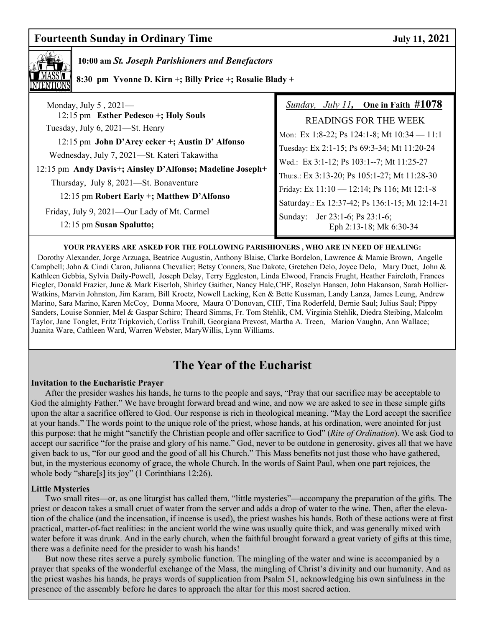## **Fourteenth Sunday in Ordinary Time 3.1 Section 12021** July 11, 2021



## **10:00 am** *St. Joseph Parishioners and Benefactors*

 **8:30 pm Yvonne D. Kirn +; Billy Price +; Rosalie Blady +** 

| Monday, July $5$ , 2021-                                                                                                                          | <i>Sunday, July 11</i> , One in Faith $\#1078$   |
|---------------------------------------------------------------------------------------------------------------------------------------------------|--------------------------------------------------|
| 12:15 pm Esther Pedesco +; Holy Souls                                                                                                             | <b>READINGS FOR THE WEEK</b>                     |
| Tuesday, July 6, 2021—St. Henry<br>12:15 pm John D'Arcy ecker +; Austin D' Alfonso                                                                | Mon: Ex 1:8-22; Ps 124:1-8; Mt $10:34 - 11:1$    |
|                                                                                                                                                   | Tuesday: Ex 2:1-15; Ps 69:3-34; Mt 11:20-24      |
| Wednesday, July 7, 2021—St. Kateri Takawitha                                                                                                      | Wed.: Ex 3:1-12; Ps 103:1--7; Mt 11:25-27        |
| 12:15 pm Andy Davis+; Ainsley D'Alfonso; Madeline Joseph+<br>Thursday, July 8, 2021-St. Bonaventure<br>12:15 pm Robert Early +; Matthew D'Alfonso | Thu:s.: Ex 3:13-20; Ps 105:1-27; Mt 11:28-30     |
|                                                                                                                                                   | Friday: Ex 11:10 - 12:14; Ps 116; Mt 12:1-8      |
|                                                                                                                                                   | Saturday.: Ex 12:37-42; Ps 136:1-15; Mt 12:14-21 |
| Friday, July 9, 2021-Our Lady of Mt. Carmel                                                                                                       | Sunday: Jer 23:1-6; Ps 23:1-6;                   |
| 12:15 pm Susan Spalutto;                                                                                                                          | Eph 2:13-18; Mk 6:30-34                          |

#### **YOUR PRAYERS ARE ASKED FOR THE FOLLOWING PARISHIONERS , WHO ARE IN NEED OF HEALING:**

 Dorothy Alexander, Jorge Arzuaga, Beatrice Augustin, Anthony Blaise, Clarke Bordelon, Lawrence & Mamie Brown, Angelle Campbell; John & Cindi Caron, Julianna Chevalier; Betsy Conners, Sue Dakote, Gretchen Delo, Joyce Delo, Mary Duet, John & Kathleen Gebbia, Sylvia Daily-Powell, Joseph Delay, Terry Eggleston, Linda Elwood, Francis Frught, Heather Faircloth, Frances Fiegler, Donald Frazier, June & Mark Eiserloh, Shirley Gaither, Nancy Hale,CHF, Roselyn Hansen, John Hakanson, Sarah Hollier-Watkins, Marvin Johnston, Jim Karam, Bill Kroetz, Nowell Lacking, Ken & Bette Kussman, Landy Lanza, James Leung, Andrew Marino, Sara Marino, Karen McCoy, Donna Moore, Maura O'Donovan, CHF, Tina Roderfeld, Bernie Saul; Julius Saul; Pippy Sanders, Louise Sonnier, Mel & Gaspar Schiro; Theard Simms, Fr. Tom Stehlik, CM, Virginia Stehlik, Diedra Steibing, Malcolm Taylor, Jane Tonglet, Fritz Tripkovich, Corliss Truhill, Georgiana Prevost, Martha A. Treen, Marion Vaughn, Ann Wallace; Juanita Ware, Cathleen Ward, Warren Webster, MaryWillis, Lynn Williams.

# **The Year of the Eucharist**

#### **Invitation to the Eucharistic Prayer**

After the presider washes his hands, he turns to the people and says, "Pray that our sacrifice may be acceptable to God the almighty Father." We have brought forward bread and wine, and now we are asked to see in these simple gifts upon the altar a sacrifice offered to God. Our response is rich in theological meaning. "May the Lord accept the sacrifice at your hands." The words point to the unique role of the priest, whose hands, at his ordination, were anointed for just this purpose: that he might "sanctify the Christian people and offer sacrifice to God" (*Rite of Ordination*). We ask God to accept our sacrifice "for the praise and glory of his name." God, never to be outdone in generosity, gives all that we have given back to us, "for our good and the good of all his Church." This Mass benefits not just those who have gathered, but, in the mysterious economy of grace, the whole Church. In the words of Saint Paul, when one part rejoices, the whole body "share[s] its joy" (1 Corinthians 12:26).

#### **Little Mysteries**

 Two small rites—or, as one liturgist has called them, "little mysteries"—accompany the preparation of the gifts. The priest or deacon takes a small cruet of water from the server and adds a drop of water to the wine. Then, after the elevation of the chalice (and the incensation, if incense is used), the priest washes his hands. Both of these actions were at first practical, matter-of-fact realities: in the ancient world the wine was usually quite thick, and was generally mixed with water before it was drunk. And in the early church, when the faithful brought forward a great variety of gifts at this time, there was a definite need for the presider to wash his hands!

 But now these rites serve a purely symbolic function. The mingling of the water and wine is accompanied by a prayer that speaks of the wonderful exchange of the Mass, the mingling of Christ's divinity and our humanity. And as the priest washes his hands, he prays words of supplication from Psalm 51, acknowledging his own sinfulness in the presence of the assembly before he dares to approach the altar for this most sacred action.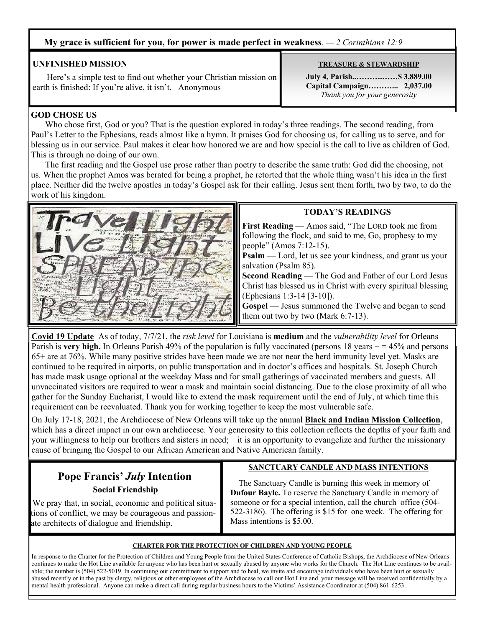### **My grace is sufficient for you, for power is made perfect in weakness**. *— 2 Corinthians 12:9*

### **UNFINISHED MISSION**

 Here's a simple test to find out whether your Christian mission on earth is finished: If you're alive, it isn't. Anonymous

#### **GOD CHOSE US**

 Who chose first, God or you? That is the question explored in today's three readings. The second reading, from Paul's Letter to the Ephesians, reads almost like a hymn. It praises God for choosing us, for calling us to serve, and for blessing us in our service. Paul makes it clear how honored we are and how special is the call to live as children of God. This is through no doing of our own.

 The first reading and the Gospel use prose rather than poetry to describe the same truth: God did the choosing, not us. When the prophet Amos was berated for being a prophet, he retorted that the whole thing wasn't his idea in the first place. Neither did the twelve apostles in today's Gospel ask for their calling. Jesus sent them forth, two by two, to do the work of his kingdom.



#### **TODAY'S READINGS**

**First Reading** — Amos said, "The LORD took me from following the flock, and said to me, Go, prophesy to my people" (Amos 7:12-15).

**Psalm** — Lord, let us see your kindness, and grant us your salvation (Psalm 85)*.*

**Second Reading** — The God and Father of our Lord Jesus Christ has blessed us in Christ with every spiritual blessing (Ephesians 1:3-14 [3-10]).

**Gospel** — Jesus summoned the Twelve and began to send them out two by two (Mark 6:7-13).

**Covid 19 Update** As of today, 7/7/21, the *risk level* for Louisiana is **medium** and the *vulnerability level* for Orleans Parish is **very high.** In Orleans Parish 49% of the population is fully vaccinated (persons 18 years  $+ = 45$ % and persons 65+ are at 76%. While many positive strides have been made we are not near the herd immunity level yet. Masks are continued to be required in airports, on public transportation and in doctor's offices and hospitals. St. Joseph Church has made mask usage optional at the weekday Mass and for small gatherings of vaccinated members and guests. All unvaccinated visitors are required to wear a mask and maintain social distancing. Due to the close proximity of all who gather for the Sunday Eucharist, I would like to extend the mask requirement until the end of July, at which time this requirement can be reevaluated. Thank you for working together to keep the most vulnerable safe.

On July 17-18, 2021, the Archdiocese of New Orleans will take up the annual **Black and Indian Mission Collection**, which has a direct impact in our own archdiocese. Your generosity to this collection reflects the depths of your faith and your willingness to help our brothers and sisters in need; it is an opportunity to evangelize and further the missionary cause of bringing the Gospel to our African American and Native American family.

## **Pope Francis'** *July* **Intention Social Friendship**

## **SANCTUARY CANDLE AND MASS INTENTIONS**

 We pray that, in social, economic and political situations of conflict, we may be courageous and passionate architects of dialogue and friendship.

 The Sanctuary Candle is burning this week in memory of **Dufour Bayle.** To reserve the Sanctuary Candle in memory of someone or for a special intention, call the church office (504- 522-3186). The offering is \$15 for one week. The offering for Mass intentions is \$5.00.

#### **CHARTER FOR THE PROTECTION OF CHILDREN AND YOUNG PEOPLE**

In response to the Charter for the Protection of Children and Young People from the United States Conference of Catholic Bishops, the Archdiocese of New Orleans continues to make the Hot Line available for anyone who has been hurt or sexually abused by anyone who works for the Church. The Hot Line continues to be available; the number is (504) 522-5019. In continuing our commitment to support and to heal, we invite and encourage individuals who have been hurt or sexually abused recently or in the past by clergy, religious or other employees of the Archdiocese to call our Hot Line and your message will be received confidentially by a mental health professional. Anyone can make a direct call during regular business hours to the Victims' Assistance Coordinator at (504) 861-6253.

**TREASURE & STEWARDSHIP**

**July 4, Parish..……….……\$ 3,889.00 Capital Campaign………... 2,037.00** *Thank you for your generosity*